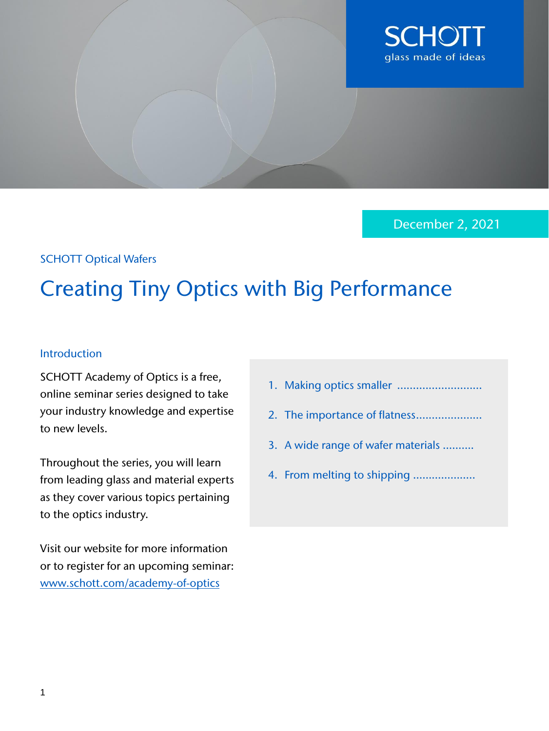

December 2, 2021

### SCHOTT Optical Wafers

# Creating Tiny Optics with Big Performance

#### Introduction

SCHOTT Academy of Optics is a free, online seminar series designed to take your industry knowledge and expertise to new levels.

Throughout the series, you will learn from leading glass and material experts as they cover various topics pertaining to the optics industry.

Visit our website for more information or to register for an upcoming seminar: [www.schott.com/academy-of-optics](https://web.cvent.com/event/4e75919d-5a35-4140-b94b-95336562b4b8/summary)

| $\cdots$ $\cdots$                  |
|------------------------------------|
|                                    |
| 3. A wide range of wafer materials |

1. Making optics smaller

4. From melting to shipping ………………..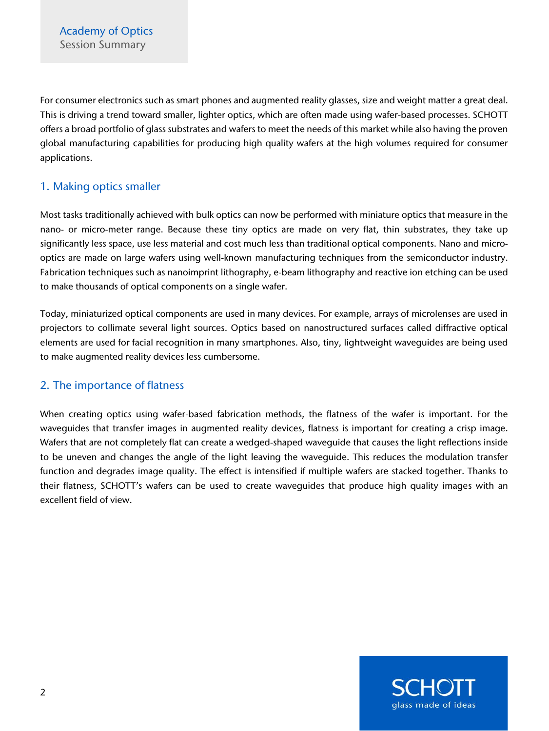For consumer electronics such as smart phones and augmented reality glasses, size and weight matter a great deal. This is driving a trend toward smaller, lighter optics, which are often made using wafer-based processes. SCHOTT offers a broad portfolio of glass substrates and wafers to meet the needs of this market while also having the proven global manufacturing capabilities for producing high quality wafers at the high volumes required for consumer applications.

# 1. Making optics smaller

Most tasks traditionally achieved with bulk optics can now be performed with miniature optics that measure in the nano- or micro-meter range. Because these tiny optics are made on very flat, thin substrates, they take up significantly less space, use less material and cost much less than traditional optical components. Nano and microoptics are made on large wafers using well-known manufacturing techniques from the semiconductor industry. Fabrication techniques such as nanoimprint lithography, e-beam lithography and reactive ion etching can be used to make thousands of optical components on a single wafer.

Today, miniaturized optical components are used in many devices. For example, arrays of microlenses are used in projectors to collimate several light sources. Optics based on nanostructured surfaces called diffractive optical elements are used for facial recognition in many smartphones. Also, tiny, lightweight waveguides are being used to make augmented reality devices less cumbersome.

# 2. The importance of flatness

When creating optics using wafer-based fabrication methods, the flatness of the wafer is important. For the waveguides that transfer images in augmented reality devices, flatness is important for creating a crisp image. Wafers that are not completely flat can create a wedged-shaped waveguide that causes the light reflections inside to be uneven and changes the angle of the light leaving the waveguide. This reduces the modulation transfer function and degrades image quality. The effect is intensified if multiple wafers are stacked together. Thanks to their flatness, SCHOTT's wafers can be used to create waveguides that produce high quality images with an excellent field of view.

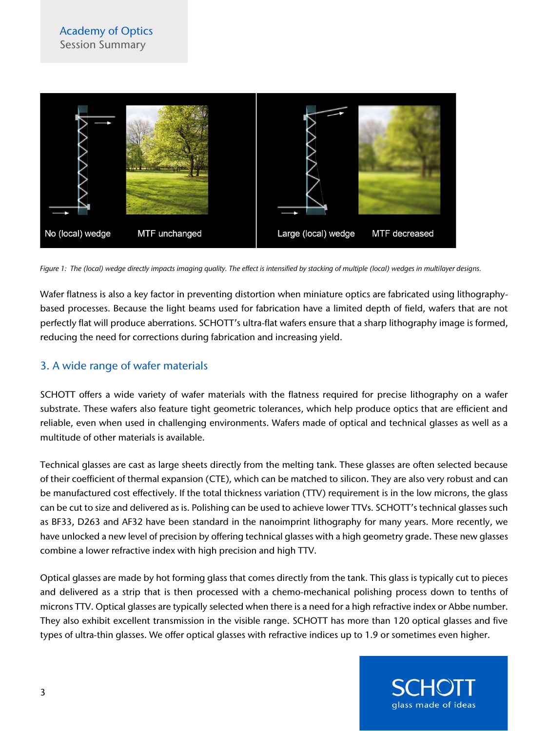

*Figure 1: The (local) wedge directly impacts imaging quality. The effect is intensified by stacking of multiple (local) wedges in multilayer designs.*

Wafer flatness is also a key factor in preventing distortion when miniature optics are fabricated using lithographybased processes. Because the light beams used for fabrication have a limited depth of field, wafers that are not perfectly flat will produce aberrations. SCHOTT's ultra-flat wafers ensure that a sharp lithography image is formed, reducing the need for corrections during fabrication and increasing yield.

#### 3. A wide range of wafer materials

SCHOTT offers a wide variety of wafer materials with the flatness required for precise lithography on a wafer substrate. These wafers also feature tight geometric tolerances, which help produce optics that are efficient and reliable, even when used in challenging environments. Wafers made of optical and technical glasses as well as a multitude of other materials is available.

Technical glasses are cast as large sheets directly from the melting tank. These glasses are often selected because of their coefficient of thermal expansion (CTE), which can be matched to silicon. They are also very robust and can be manufactured cost effectively. If the total thickness variation (TTV) requirement is in the low microns, the glass can be cut to size and delivered as is. Polishing can be used to achieve lower TTVs. SCHOTT's technical glasses such as BF33, D263 and AF32 have been standard in the nanoimprint lithography for many years. More recently, we have unlocked a new level of precision by offering technical glasses with a high geometry grade. These new glasses combine a lower refractive index with high precision and high TTV.

Optical glasses are made by hot forming glass that comes directly from the tank. This glass is typically cut to pieces and delivered as a strip that is then processed with a chemo-mechanical polishing process down to tenths of microns TTV. Optical glasses are typically selected when there is a need for a high refractive index or Abbe number. They also exhibit excellent transmission in the visible range. SCHOTT has more than 120 optical glasses and five types of ultra-thin glasses. We offer optical glasses with refractive indices up to 1.9 or sometimes even higher.